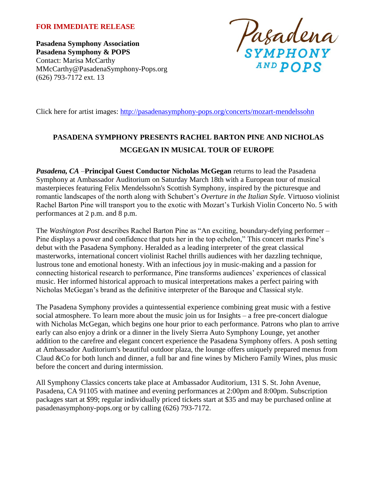#### **FOR IMMEDIATE RELEASE**

**Pasadena Symphony Association Pasadena Symphony & POPS** Contact: Marisa McCarthy MMcCarthy@PasadenaSymphony-Pops.org (626) 793-7172 ext. 13



Click here for artist images:<http://pasadenasymphony-pops.org/concerts/mozart-mendelssohn>

# **PASADENA SYMPHONY PRESENTS RACHEL BARTON PINE AND NICHOLAS MCGEGAN IN MUSICAL TOUR OF EUROPE**

*Pasadena, CA* –**Principal Guest Conductor Nicholas McGegan** returns to lead the Pasadena Symphony at Ambassador Auditorium on Saturday March 18th with a European tour of musical masterpieces featuring Felix Mendelssohn's Scottish Symphony, inspired by the picturesque and romantic landscapes of the north along with Schubert's *Overture in the Italian Style*. Virtuoso violinist Rachel Barton Pine will transport you to the exotic with Mozart's Turkish Violin Concerto No. 5 with performances at 2 p.m. and 8 p.m.

The *Washington Post* describes Rachel Barton Pine as "An exciting, boundary-defying performer – Pine displays a power and confidence that puts her in the top echelon," This concert marks Pine's debut with the Pasadena Symphony. Heralded as a leading interpreter of the great classical masterworks, international concert violinist Rachel thrills audiences with her dazzling technique, lustrous tone and emotional honesty. With an infectious joy in music-making and a passion for connecting historical research to performance, Pine transforms audiences' experiences of classical music. Her informed historical approach to musical interpretations makes a perfect pairing with Nicholas McGegan's brand as the definitive interpreter of the Baroque and Classical style.

The Pasadena Symphony provides a quintessential experience combining great music with a festive social atmosphere. To learn more about the music join us for Insights – a free pre-concert dialogue with Nicholas McGegan, which begins one hour prior to each performance. Patrons who plan to arrive early can also enjoy a drink or a dinner in the lively Sierra Auto Symphony Lounge, yet another addition to the carefree and elegant concert experience the Pasadena Symphony offers. A posh setting at Ambassador Auditorium's beautiful outdoor plaza, the lounge offers uniquely prepared menus from Claud &Co for both lunch and dinner, a full bar and fine wines by Michero Family Wines, plus music before the concert and during intermission.

All Symphony Classics concerts take place at Ambassador Auditorium, 131 S. St. John Avenue, Pasadena, CA 91105 with matinee and evening performances at 2:00pm and 8:00pm. Subscription packages start at \$99; regular individually priced tickets start at \$35 and may be purchased online at pasadenasymphony-pops.org or by calling (626) 793-7172.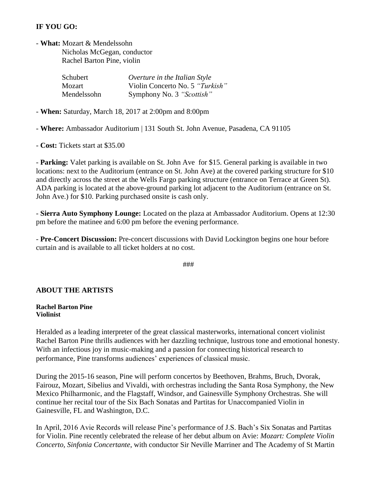### **IF YOU GO:**

- **What:** Mozart & Mendelssohn

 Nicholas McGegan, conductor Rachel Barton Pine, violin

| Schubert    | Overture in the Italian Style   |
|-------------|---------------------------------|
| Mozart      | Violin Concerto No. 5 "Turkish" |
| Mendelssohn | Symphony No. 3 "Scottish"       |

- **When:** Saturday, March 18, 2017 at 2:00pm and 8:00pm

- **Where:** Ambassador Auditorium | 131 South St. John Avenue, Pasadena, CA 91105

- **Cost:** Tickets start at \$35.00

- **Parking:** Valet parking is available on St. John Ave for \$15. General parking is available in two locations: next to the Auditorium (entrance on St. John Ave) at the covered parking structure for \$10 and directly across the street at the Wells Fargo parking structure (entrance on Terrace at Green St). ADA parking is located at the above-ground parking lot adjacent to the Auditorium (entrance on St. John Ave.) for \$10. Parking purchased onsite is cash only.

- **Sierra Auto Symphony Lounge:** Located on the plaza at Ambassador Auditorium. Opens at 12:30 pm before the matinee and 6:00 pm before the evening performance.

- **Pre-Concert Discussion:** Pre-concert discussions with David Lockington begins one hour before curtain and is available to all ticket holders at no cost.

###

#### **ABOUT THE ARTISTS**

**Rachel Barton Pine Violinist**

Heralded as a leading interpreter of the great classical masterworks, international concert violinist Rachel Barton Pine thrills audiences with her dazzling technique, lustrous tone and emotional honesty. With an infectious joy in music-making and a passion for connecting historical research to performance, Pine transforms audiences' experiences of classical music.

During the 2015-16 season, Pine will perform concertos by Beethoven, Brahms, Bruch, Dvorak, Fairouz, Mozart, Sibelius and Vivaldi, with orchestras including the Santa Rosa Symphony, the New Mexico Philharmonic, and the Flagstaff, Windsor, and Gainesville Symphony Orchestras. She will continue her recital tour of the Six Bach Sonatas and Partitas for Unaccompanied Violin in Gainesville, FL and Washington, D.C.

In April, 2016 Avie Records will release Pine's performance of J.S. Bach's Six Sonatas and Partitas for Violin. Pine recently celebrated the release of her debut album on Avie: *Mozart: Complete Violin Concerto, Sinfonia Concertante*, with conductor Sir Neville Marriner and The Academy of St Martin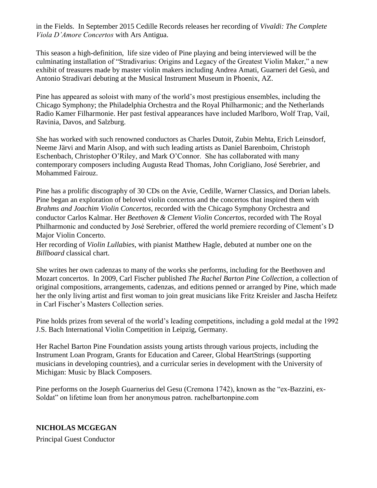in the Fields. In September 2015 Cedille Records releases her recording of *Vivaldi: The Complete Viola D'Amore Concertos* with Ars Antigua.

This season a high-definition, life size video of Pine playing and being interviewed will be the culminating installation of "Stradivarius: Origins and Legacy of the Greatest Violin Maker," a new exhibit of treasures made by master violin makers including Andrea Amati, Guarneri del Gesù, and Antonio Stradivari debuting at the Musical Instrument Museum in Phoenix, AZ.

Pine has appeared as soloist with many of the world's most prestigious ensembles, including the Chicago Symphony; the Philadelphia Orchestra and the Royal Philharmonic; and the Netherlands Radio Kamer Filharmonie. Her past festival appearances have included Marlboro, Wolf Trap, Vail, Ravinia, Davos, and Salzburg.

She has worked with such renowned conductors as Charles Dutoit, Zubin Mehta, Erich Leinsdorf, Neeme Järvi and Marin Alsop, and with such leading artists as Daniel Barenboim, Christoph Eschenbach, Christopher O'Riley, and Mark O'Connor. She has collaborated with many contemporary composers including Augusta Read Thomas, John Corigliano, José Serebrier, and Mohammed Fairouz.

Pine has a prolific discography of 30 CDs on the Avie, Cedille, Warner Classics, and Dorian labels. Pine began an exploration of beloved violin concertos and the concertos that inspired them with *Brahms and Joachim Violin Concertos,* recorded with the Chicago Symphony Orchestra and conductor Carlos Kalmar. Her *Beethoven & Clement Violin Concertos*, recorded with The Royal Philharmonic and conducted by José Serebrier, offered the world premiere recording of Clement's D Major Violin Concerto.

Her recording of *Violin Lullabies*, with pianist Matthew Hagle, debuted at number one on the *Billboard* classical chart.

She writes her own cadenzas to many of the works she performs, including for the Beethoven and Mozart concertos. In 2009, Carl Fischer published *The Rachel Barton Pine Collection*, a collection of original compositions, arrangements, cadenzas, and editions penned or arranged by Pine, which made her the only living artist and first woman to join great musicians like Fritz Kreisler and Jascha Heifetz in Carl Fischer's Masters Collection series.

Pine holds prizes from several of the world's leading competitions, including a gold medal at the 1992 J.S. Bach International Violin Competition in Leipzig, Germany.

Her Rachel Barton Pine Foundation assists young artists through various projects, including the Instrument Loan Program, Grants for Education and Career, Global HeartStrings (supporting musicians in developing countries), and a curricular series in development with the University of Michigan: Music by Black Composers.

Pine performs on the Joseph Guarnerius del Gesu (Cremona 1742), known as the "ex-Bazzini, ex-Soldat" on lifetime loan from her anonymous patron. rachelbartonpine.com

## **NICHOLAS MCGEGAN**

Principal Guest Conductor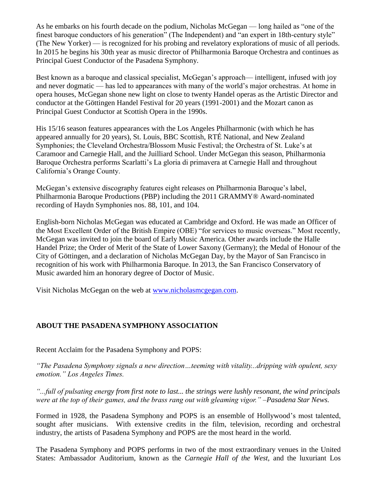As he embarks on his fourth decade on the podium, Nicholas McGegan — long hailed as "one of the finest baroque conductors of his generation" (The Independent) and "an expert in 18th-century style" (The New Yorker) — is recognized for his probing and revelatory explorations of music of all periods. In 2015 he begins his 30th year as music director of Philharmonia Baroque Orchestra and continues as Principal Guest Conductor of the Pasadena Symphony.

Best known as a baroque and classical specialist, McGegan's approach— intelligent, infused with joy and never dogmatic — has led to appearances with many of the world's major orchestras. At home in opera houses, McGegan shone new light on close to twenty Handel operas as the Artistic Director and conductor at the Göttingen Handel Festival for 20 years (1991-2001) and the Mozart canon as Principal Guest Conductor at Scottish Opera in the 1990s.

His 15/16 season features appearances with the Los Angeles Philharmonic (with which he has appeared annually for 20 years), St. Louis, BBC Scottish, RTÉ National, and New Zealand Symphonies; the Cleveland Orchestra/Blossom Music Festival; the Orchestra of St. Luke's at Caramoor and Carnegie Hall, and the Juilliard School. Under McGegan this season, Philharmonia Baroque Orchestra performs Scarlatti's La gloria di primavera at Carnegie Hall and throughout California's Orange County.

McGegan's extensive discography features eight releases on Philharmonia Baroque's label, Philharmonia Baroque Productions (PBP) including the 2011 GRAMMY® Award-nominated recording of Haydn Symphonies nos. 88, 101, and 104.

English-born Nicholas McGegan was educated at Cambridge and Oxford. He was made an Officer of the Most Excellent Order of the British Empire (OBE) "for services to music overseas." Most recently, McGegan was invited to join the board of Early Music America. Other awards include the Halle Handel Prize; the Order of Merit of the State of Lower Saxony (Germany); the Medal of Honour of the City of Göttingen, and a declaration of Nicholas McGegan Day, by the Mayor of San Francisco in recognition of his work with Philharmonia Baroque. In 2013, the San Francisco Conservatory of Music awarded him an honorary degree of Doctor of Music.

Visit Nicholas McGegan on the web at [www.nicholasmcgegan.com.](http://www.nicholasmcgegan.com/)

## **ABOUT THE PASADENA SYMPHONY ASSOCIATION**

Recent Acclaim for the Pasadena Symphony and POPS:

*"The Pasadena Symphony signals a new direction…teeming with vitality...dripping with opulent, sexy emotion." Los Angeles Times.* 

*"...full of pulsating energy from first note to last... the strings were lushly resonant, the wind principals were at the top of their games, and the brass rang out with gleaming vigor." –Pasadena Star News.*

Formed in 1928, the Pasadena Symphony and POPS is an ensemble of Hollywood's most talented, sought after musicians. With extensive credits in the film, television, recording and orchestral industry, the artists of Pasadena Symphony and POPS are the most heard in the world.

The Pasadena Symphony and POPS performs in two of the most extraordinary venues in the United States: Ambassador Auditorium, known as the *Carnegie Hall of the West,* and the luxuriant Los